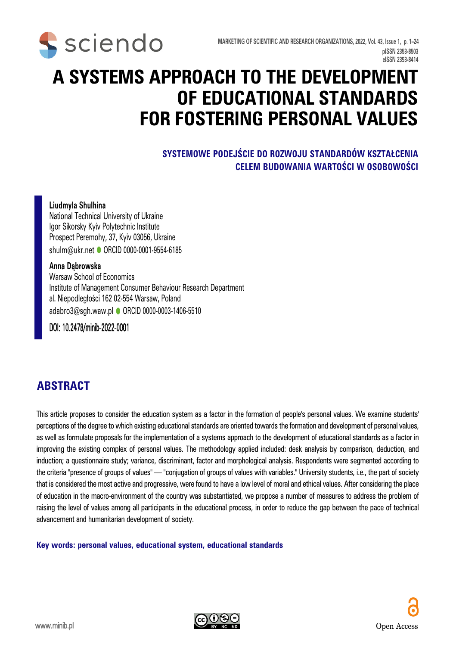

# **A SYSTEMS APPROACH TO THE DEVELOPMENT OF EDUCATIONAL STANDARDS FOR FOSTERING PERSONAL VALUES**

#### **SYSTEMOWE PODEJŚCIE DO ROZWOJU STANDARDÓW KSZTAŁCENIA CELEM BUDOWANIA WARTOŚCI W OSOBOWOŚCI**

#### **Liudmyla Shulhina**

National Technical University of Ukraine Igor Sikorsky Kyiv Polytechnic Institute Prospect Peremohy, 37, Kyiv 03056, Ukraine shulm@ukr.net ORCID 0000-0001-9554-6185

#### **Anna Dąbrowska**

Warsaw School of Economics Institute of Management Consumer Behaviour Research Department al. Niepodległości 162 02-554 Warsaw, Poland adabro3@sgh.waw.pl [ORCID 0000-0003-1406-5510](https://orcid.org/0000-0003-1406-5510)

#### DOI: 10.2478/minib-2022-0001

### **ABSTRACT**

This article proposes to consider the education system as a factor in the formation of people's personal values. We examine students' perceptions of the degree to which existing educational standards are oriented towards the formation and development of personal values, as well as formulate proposals for the implementation of a systems approach to the development of educational standards as a factor in improving the existing complex of personal values. The methodology applied included: desk analysis by comparison, deduction, and induction; a questionnaire study; variance, discriminant, factor and morphological analysis. Respondents were segmented according to the criteria "presence of groups of values" — "conjugation of groups of values with variables." University students, i.e., the part of society that is considered the most active and progressive, were found to have a low level of moral and ethical values. After considering the place of education in the macro-environment of the country was substantiated, we propose a number of measures to address the problem of raising the level of values among all participants in the educational process, in order to reduce the gap between the pace of technical advancement and humanitarian development of society.

**Key words: personal values, educational system, educational standards** 

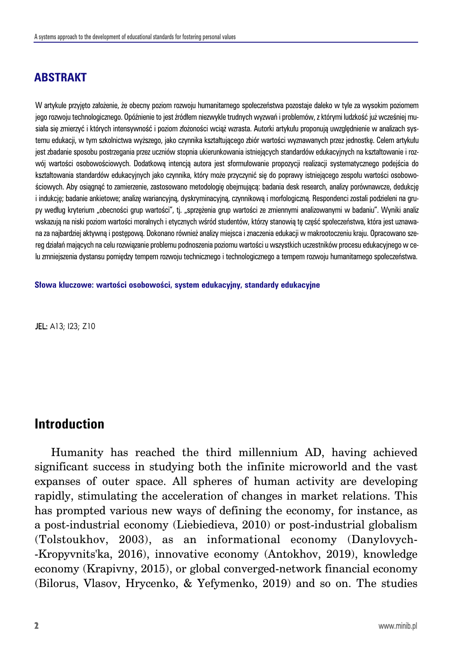### **ABSTRAKT**

W artykule przyjęto założenie, że obecny poziom rozwoju humanitarnego społeczeństwa pozostaje daleko w tyle za wysokim poziomem jego rozwoju technologicznego. Opóźnienie to jest źródłem niezwykle trudnych wyzwań i problemów, z którymi ludzkość już wcześniej musiała się zmierzyć i których intensywność i poziom złożoności wciąż wzrasta. Autorki artykułu proponują uwzględnienie w analizach systemu edukacji, w tym szkolnictwa wyższego, jako czynnika kształtującego zbiór wartości wyznawanych przez jednostkę. Celem artykułu jest zbadanie sposobu postrzegania przez uczniów stopnia ukierunkowania istniejących standardów edukacyjnych na kształtowanie i rozwój wartości osobowościowych. Dodatkową intencją autora jest sformułowanie propozycji realizacji systematycznego podejścia do kształtowania standardów edukacyjnych jako czynnika, który może przyczynić się do poprawy istniejącego zespołu wartości osobowościowych. Aby osiągnąć to zamierzenie, zastosowano metodologię obejmującą: badania desk research, analizy porównawcze, dedukcję i indukcję; badanie ankietowe; analizę wariancyjną, dyskryminacyjną, czynnikową i morfologiczną. Respondenci zostali podzieleni na grupy według kryterium "obecności grup wartości", tj. "sprzężenia grup wartości ze zmiennymi analizowanymi w badaniu". Wyniki analiz wskazują na niski poziom wartości moralnych i etycznych wśród studentów, którzy stanowią tę część społeczeństwa, która jest uznawana za najbardziej aktywną i postępową. Dokonano również analizy miejsca i znaczenia edukacji w makrootoczeniu kraju. Opracowano szereg działań mających na celu rozwiązanie problemu podnoszenia poziomu wartości u wszystkich uczestników procesu edukacyjnego w celu zmniejszenia dystansu pomiędzy tempem rozwoju technicznego i technologicznego a tempem rozwoju humanitarnego społeczeństwa.

**Słowa kluczowe: wartości osobowości, system edukacyjny, standardy edukacyjne**

JEL: A13; I23; Z10

### **Introduction**

Humanity has reached the third millennium AD, having achieved significant success in studying both the infinite microworld and the vast expanses of outer space. All spheres of human activity are developing rapidly, stimulating the acceleration of changes in market relations. This has prompted various new ways of defining the economy, for instance, as a post-industrial economy (Liebiedieva, 2010) or post-industrial globalism (Tolstoukhov, 2003), as an informational economy (Danylovych- -Kropyvnits'ka, 2016), innovative economy (Antokhov, 2019), knowledge economy (Krapivny, 2015), or global converged-network financial economy (Bilorus, Vlasov, Hrycenko, & Yefymenko, 2019) and so on. The studies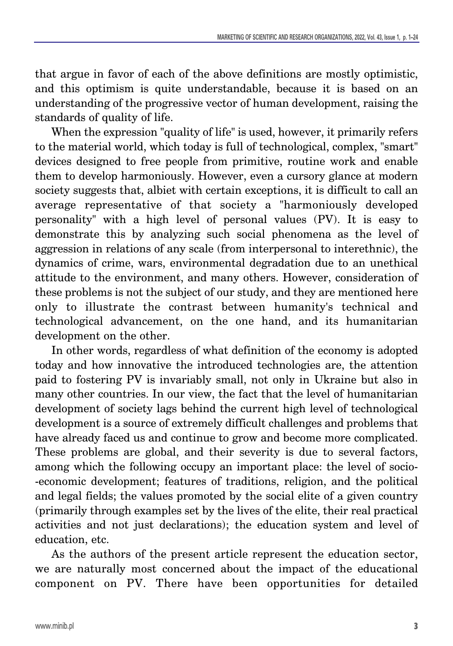that argue in favor of each of the above definitions are mostly optimistic, and this optimism is quite understandable, because it is based on an understanding of the progressive vector of human development, raising the standards of quality of life.

When the expression "quality of life" is used, however, it primarily refers to the material world, which today is full of technological, complex, "smart" devices designed to free people from primitive, routine work and enable them to develop harmoniously. However, even a cursory glance at modern society suggests that, albiet with certain exceptions, it is difficult to call an average representative of that society a "harmoniously developed personality" with a high level of personal values (PV). It is easy to demonstrate this by analyzing such social phenomena as the level of aggression in relations of any scale (from interpersonal to interethnic), the dynamics of crime, wars, environmental degradation due to an unethical attitude to the environment, and many others. However, consideration of these problems is not the subject of our study, and they are mentioned here only to illustrate the contrast between humanity's technical and technological advancement, on the one hand, and its humanitarian development on the other.

In other words, regardless of what definition of the economy is adopted today and how innovative the introduced technologies are, the attention paid to fostering PV is invariably small, not only in Ukraine but also in many other countries. In our view, the fact that the level of humanitarian development of society lags behind the current high level of technological development is a source of extremely difficult challenges and problems that have already faced us and continue to grow and become more complicated. These problems are global, and their severity is due to several factors, among which the following occupy an important place: the level of socio- -economic development; features of traditions, religion, and the political and legal fields; the values promoted by the social elite of a given country (primarily through examples set by the lives of the elite, their real practical activities and not just declarations); the education system and level of education, etc.

As the authors of the present article represent the education sector, we are naturally most concerned about the impact of the educational component on PV. There have been opportunities for detailed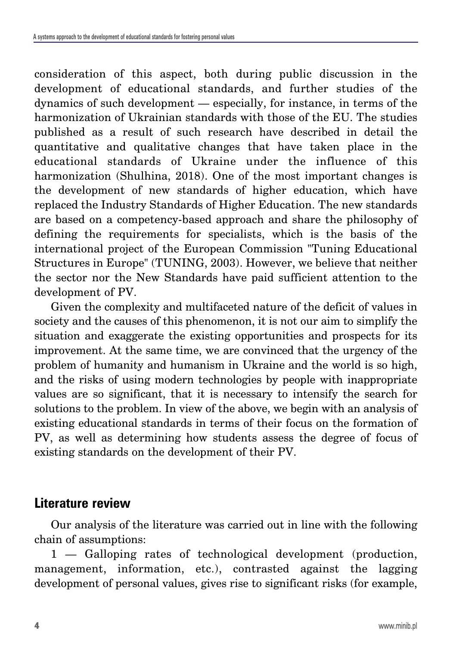consideration of this aspect, both during public discussion in the development of educational standards, and further studies of the dynamics of such development — especially, for instance, in terms of the harmonization of Ukrainian standards with those of the EU. The studies published as a result of such research have described in detail the quantitative and qualitative changes that have taken place in the educational standards of Ukraine under the influence of this harmonization (Shulhina, 2018). One of the most important changes is the development of new standards of higher education, which have replaced the Industry Standards of Higher Education. The new standards are based on a competency-based approach and share the philosophy of defining the requirements for specialists, which is the basis of the international project of the European Commission "Tuning Educational Structures in Europe" (TUNING, 2003). However, we believe that neither the sector nor the New Standards have paid sufficient attention to the development of PV.

Given the complexity and multifaceted nature of the deficit of values in society and the causes of this phenomenon, it is not our aim to simplify the situation and exaggerate the existing opportunities and prospects for its improvement. At the same time, we are convinced that the urgency of the problem of humanity and humanism in Ukraine and the world is so high, and the risks of using modern technologies by people with inappropriate values are so significant, that it is necessary to intensify the search for solutions to the problem. In view of the above, we begin with an analysis of existing educational standards in terms of their focus on the formation of PV, as well as determining how students assess the degree of focus of existing standards on the development of their PV.

### **Literature review**

Our analysis of the literature was carried out in line with the following chain of assumptions:

1 — Galloping rates of technological development (production, management, information, etc.), contrasted against the lagging development of personal values, gives rise to significant risks (for example,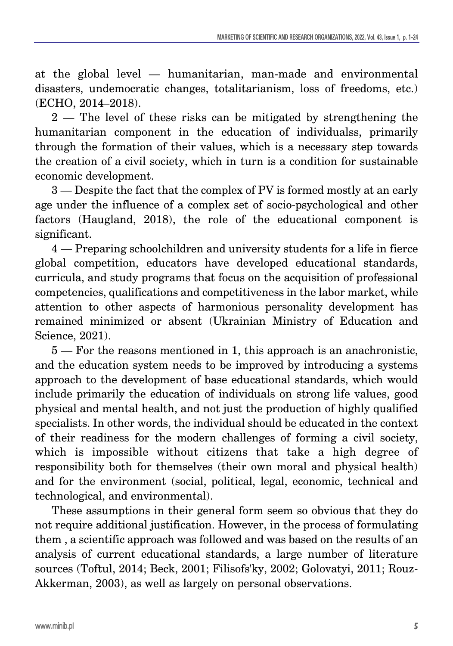at the global level — humanitarian, man-made and environmental disasters, undemocratic changes, totalitarianism, loss of freedoms, etc.) (ECHO, 2014–2018).

2 — The level of these risks can be mitigated by strengthening the humanitarian component in the education of individualss, primarily through the formation of their values, which is a necessary step towards the creation of a civil society, which in turn is a condition for sustainable economic development.

3 — Despite the fact that the complex of PV is formed mostly at an early age under the influence of a complex set of socio-psychological and other factors (Haugland, 2018), the role of the educational component is significant.

4 — Preparing schoolchildren and university students for a life in fierce global competition, educators have developed educational standards, curricula, and study programs that focus on the acquisition of professional competencies, qualifications and competitiveness in the labor market, while attention to other aspects of harmonious personality development has remained minimized or absent (Ukrainian Ministry of Education and Science, 2021).

5 — For the reasons mentioned in 1, this approach is an anachronistic, and the education system needs to be improved by introducing a systems approach to the development of base educational standards, which would include primarily the education of individuals on strong life values, good physical and mental health, and not just the production of highly qualified specialists. In other words, the individual should be educated in the context of their readiness for the modern challenges of forming a civil society, which is impossible without citizens that take a high degree of responsibility both for themselves (their own moral and physical health) and for the environment (social, political, legal, economic, technical and technological, and environmental).

These assumptions in their general form seem so obvious that they do not require additional justification. However, in the process of formulating them , a scientific approach was followed and was based on the results of an analysis of current educational standards, a large number of literature sources (Toftul, 2014; Beck, 2001; Filisofs'ky, 2002; Golovatyi, 2011; Rouz-Akkerman, 2003), as well as largely on personal observations.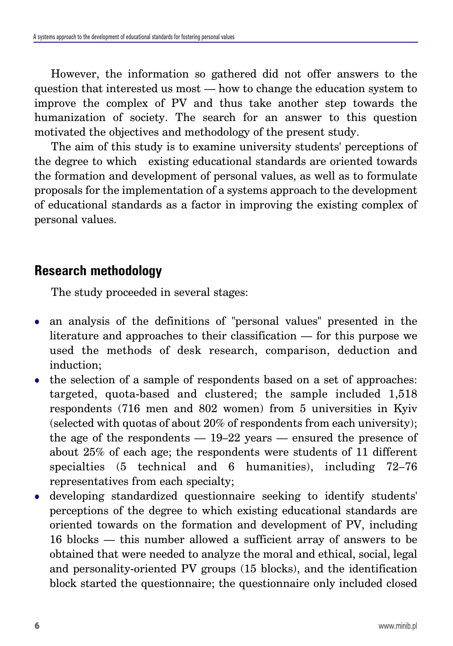However, the information so gathered did not offer answers to the question that interested us most — how to change the education system to improve the complex of PV and thus take another step towards the humanization of society. The search for an answer to this question motivated the objectives and methodology of the present study.

The aim of this study is to examine university students' perceptions of the degree to which existing educational standards are oriented towards the formation and development of personal values, as well as to formulate proposals for the implementation of a systems approach to the development of educational standards as a factor in improving the existing complex of personal values.

## **Research methodology**

The study proceeded in several stages:

- an analysis of the definitions of "personal values" presented in the literature and approaches to their classification — for this purpose we used the methods of desk research, comparison, deduction and induction;
- the selection of a sample of respondents based on a set of approaches: targeted, quota-based and clustered; the sample included 1,518 respondents (716 men and 802 women) from 5 universities in Kyiv (selected with quotas of about 20% of respondents from each university); the age of the respondents — 19–22 years — ensured the presence of about 25% of each age; the respondents were students of 11 different specialties (5 technical and 6 humanities), including 72–76 representatives from each specialty;
- developing standardized questionnaire seeking to identify students' perceptions of the degree to which existing educational standards are oriented towards on the formation and development of PV, including 16 blocks — this number allowed a sufficient array of answers to be obtained that were needed to analyze the moral and ethical, social, legal and personality-oriented PV groups (15 blocks), and the identification block started the questionnaire; the questionnaire only included closed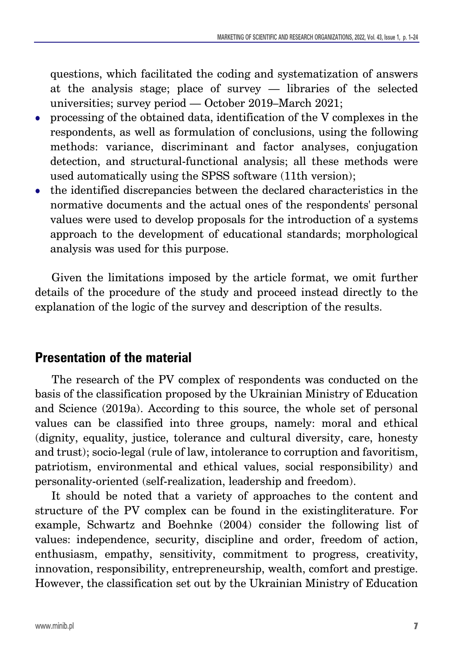questions, which facilitated the coding and systematization of answers at the analysis stage; place of survey — libraries of the selected universities; survey period — October 2019–March 2021;

- <sup>z</sup> processing of the obtained data, identification of the V complexes in the respondents, as well as formulation of conclusions, using the following methods: variance, discriminant and factor analyses, conjugation detection, and structural-functional analysis; all these methods were used automatically using the SPSS software (11th version);
- $\bullet$  the identified discrepancies between the declared characteristics in the normative documents and the actual ones of the respondents' personal values were used to develop proposals for the introduction of a systems approach to the development of educational standards; morphological analysis was used for this purpose.

Given the limitations imposed by the article format, we omit further details of the procedure of the study and proceed instead directly to the explanation of the logic of the survey and description of the results.

### **Presentation of the material**

The research of the PV complex of respondents was conducted on the basis of the classification proposed by the Ukrainian Ministry of Education and Science (2019a). According to this source, the whole set of personal values can be classified into three groups, namely: moral and ethical (dignity, equality, justice, tolerance and cultural diversity, care, honesty and trust); socio-legal (rule of law, intolerance to corruption and favoritism, patriotism, environmental and ethical values, social responsibility) and personality-oriented (self-realization, leadership and freedom).

It should be noted that a variety of approaches to the content and structure of the PV complex can be found in the existingliterature. For example, Schwartz and Boehnke (2004) consider the following list of values: independence, security, discipline and order, freedom of action, enthusiasm, empathy, sensitivity, commitment to progress, creativity, innovation, responsibility, entrepreneurship, wealth, comfort and prestige. However, the classification set out by the Ukrainian Ministry of Education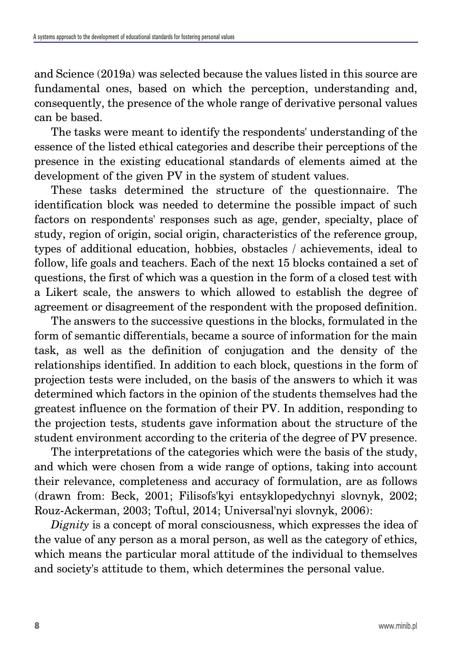and Science (2019a) was selected because the values listed in this source are fundamental ones, based on which the perception, understanding and, consequently, the presence of the whole range of derivative personal values can be based.

The tasks were meant to identify the respondents' understanding of the essence of the listed ethical categories and describe their perceptions of the presence in the existing educational standards of elements aimed at the development of the given PV in the system of student values.

These tasks determined the structure of the questionnaire. The identification block was needed to determine the possible impact of such factors on respondents' responses such as age, gender, specialty, place of study, region of origin, social origin, characteristics of the reference group, types of additional education, hobbies, obstacles / achievements, ideal to follow, life goals and teachers. Each of the next 15 blocks contained a set of questions, the first of which was a question in the form of a closed test with a Likert scale, the answers to which allowed to establish the degree of agreement or disagreement of the respondent with the proposed definition.

The answers to the successive questions in the blocks, formulated in the form of semantic differentials, became a source of information for the main task, as well as the definition of conjugation and the density of the relationships identified. In addition to each block, questions in the form of projection tests were included, on the basis of the answers to which it was determined which factors in the opinion of the students themselves had the greatest influence on the formation of their PV. In addition, responding to the projection tests, students gave information about the structure of the student environment according to the criteria of the degree of PV presence.

The interpretations of the categories which were the basis of the study, and which were chosen from a wide range of options, taking into account their relevance, completeness and accuracy of formulation, are as follows (drawn from: Beck, 2001; Filisofs'kyi entsyklopedychnyi slovnyk, 2002; Rouz-Ackerman, 2003; Toftul, 2014; Universal'nyi slovnyk, 2006):

*Dignity* is a concept of moral consciousness, which expresses the idea of the value of any person as a moral person, as well as the category of ethics, which means the particular moral attitude of the individual to themselves and society's attitude to them, which determines the personal value.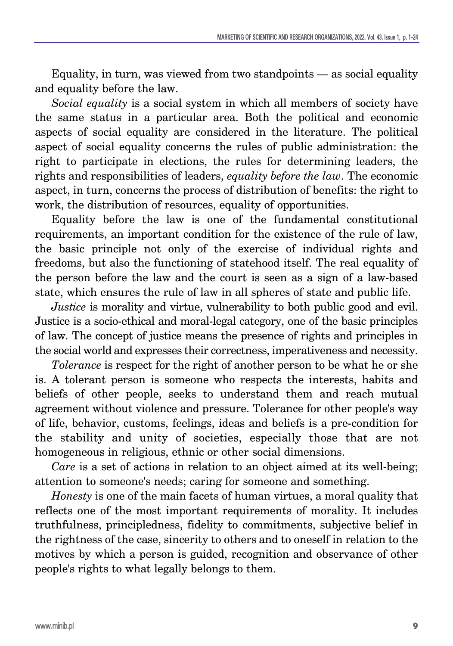Equality, in turn, was viewed from two standpoints — as social equality and equality before the law.

*Social equality* is a social system in which all members of society have the same status in a particular area. Both the political and economic aspects of social equality are considered in the literature. The political aspect of social equality concerns the rules of public administration: the right to participate in elections, the rules for determining leaders, the rights and responsibilities of leaders, *equality before the law*. The economic aspect, in turn, concerns the process of distribution of benefits: the right to work, the distribution of resources, equality of opportunities.

Equality before the law is one of the fundamental constitutional requirements, an important condition for the existence of the rule of law, the basic principle not only of the exercise of individual rights and freedoms, but also the functioning of statehood itself. The real equality of the person before the law and the court is seen as a sign of a law-based state, which ensures the rule of law in all spheres of state and public life.

*Justice* is morality and virtue, vulnerability to both public good and evil. Justice is a socio-ethical and moral-legal category, one of the basic principles of law. The concept of justice means the presence of rights and principles in the social world and expresses their correctness, imperativeness and necessity.

*Tolerance* is respect for the right of another person to be what he or she is. A tolerant person is someone who respects the interests, habits and beliefs of other people, seeks to understand them and reach mutual agreement without violence and pressure. Tolerance for other people's way of life, behavior, customs, feelings, ideas and beliefs is a pre-condition for the stability and unity of societies, especially those that are not homogeneous in religious, ethnic or other social dimensions.

*Care* is a set of actions in relation to an object aimed at its well-being; attention to someone's needs; caring for someone and something.

*Honesty* is one of the main facets of human virtues, a moral quality that reflects one of the most important requirements of morality. It includes truthfulness, principledness, fidelity to commitments, subjective belief in the rightness of the case, sincerity to others and to oneself in relation to the motives by which a person is guided, recognition and observance of other people's rights to what legally belongs to them.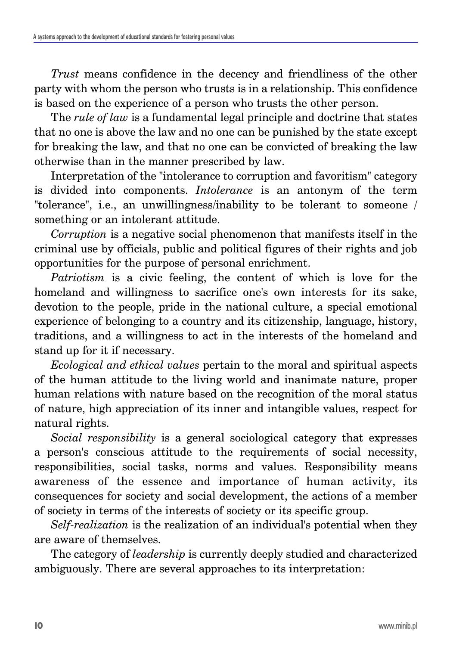*Trust* means confidence in the decency and friendliness of the other party with whom the person who trusts is in a relationship. This confidence is based on the experience of a person who trusts the other person.

The *rule of law* is a fundamental legal principle and doctrine that states that no one is above the law and no one can be punished by the state except for breaking the law, and that no one can be convicted of breaking the law otherwise than in the manner prescribed by law.

Interpretation of the "intolerance to corruption and favoritism" category is divided into components. *Intolerance* is an antonym of the term "tolerance", i.e., an unwillingness/inability to be tolerant to someone / something or an intolerant attitude.

*Corruption* is a negative social phenomenon that manifests itself in the criminal use by officials, public and political figures of their rights and job opportunities for the purpose of personal enrichment.

*Patriotism* is a civic feeling, the content of which is love for the homeland and willingness to sacrifice one's own interests for its sake, devotion to the people, pride in the national culture, a special emotional experience of belonging to a country and its citizenship, language, history, traditions, and a willingness to act in the interests of the homeland and stand up for it if necessary.

*Ecological and ethical values* pertain to the moral and spiritual aspects of the human attitude to the living world and inanimate nature, proper human relations with nature based on the recognition of the moral status of nature, high appreciation of its inner and intangible values, respect for natural rights.

*Social responsibility* is a general sociological category that expresses a person's conscious attitude to the requirements of social necessity, responsibilities, social tasks, norms and values. Responsibility means awareness of the essence and importance of human activity, its consequences for society and social development, the actions of a member of society in terms of the interests of society or its specific group.

*Self-realization* is the realization of an individual's potential when they are aware of themselves.

The category of *leadership* is currently deeply studied and characterized ambiguously. There are several approaches to its interpretation: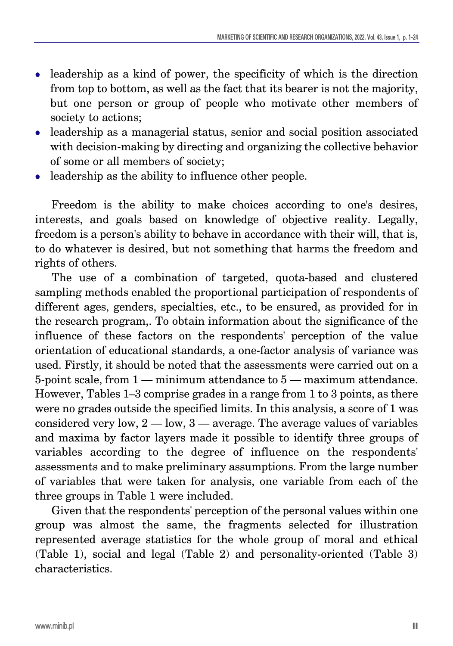- leadership as a kind of power, the specificity of which is the direction from top to bottom, as well as the fact that its bearer is not the majority, but one person or group of people who motivate other members of society to actions;
- leadership as a managerial status, senior and social position associated with decision-making by directing and organizing the collective behavior of some or all members of society;
- $\bullet$  leadership as the ability to influence other people.

Freedom is the ability to make choices according to one's desires, interests, and goals based on knowledge of objective reality. Legally, freedom is a person's ability to behave in accordance with their will, that is, to do whatever is desired, but not something that harms the freedom and rights of others.

The use of a combination of targeted, quota-based and clustered sampling methods enabled the proportional participation of respondents of different ages, genders, specialties, etc., to be ensured, as provided for in the research program,. To obtain information about the significance of the influence of these factors on the respondents' perception of the value orientation of educational standards, a one-factor analysis of variance was used. Firstly, it should be noted that the assessments were carried out on a 5-point scale, from 1 — minimum attendance to 5 — maximum attendance. However, Tables 1–3 comprise grades in a range from 1 to 3 points, as there were no grades outside the specified limits. In this analysis, a score of 1 was considered very low,  $2 - \text{low}, 3 - \text{average}$ . The average values of variables and maxima by factor layers made it possible to identify three groups of variables according to the degree of influence on the respondents' assessments and to make preliminary assumptions. From the large number of variables that were taken for analysis, one variable from each of the three groups in Table 1 were included.

Given that the respondents' perception of the personal values within one group was almost the same, the fragments selected for illustration represented average statistics for the whole group of moral and ethical (Table 1), social and legal (Table 2) and personality-oriented (Table 3) characteristics.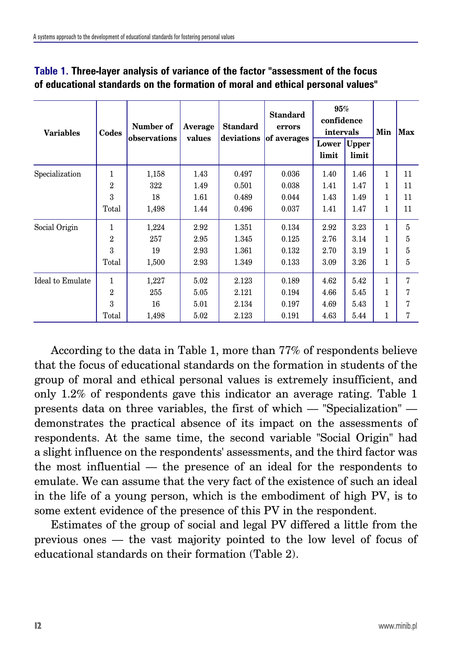| <b>Variables</b> | Codes | Number of<br>observations | Average<br>values | <b>Standard</b><br>deviations | <b>Standard</b><br>errors<br>of averages | 95%<br>confidence<br>intervals |                       | Min          | <b>Max</b> |
|------------------|-------|---------------------------|-------------------|-------------------------------|------------------------------------------|--------------------------------|-----------------------|--------------|------------|
|                  |       |                           |                   |                               |                                          | Lower<br>limit                 | <b>Upper</b><br>limit |              |            |
| Specialization   | 1     | 1,158                     | 1.43              | 0.497                         | 0.036                                    | 1.40                           | 1.46                  | 1            | 11         |
|                  | 2     | 322                       | 1.49              | 0.501                         | 0.038                                    | 1.41                           | 1.47                  | 1            | 11         |
|                  | 3     | 18                        | 1.61              | 0.489                         | 0.044                                    | 1.43                           | 1.49                  | 1            | 11         |
|                  | Total | 1,498                     | 1.44              | 0.496                         | 0.037                                    | 1.41                           | 1.47                  | 1            | 11         |
| Social Origin    | 1     | 1,224                     | 2.92              | 1.351                         | 0.134                                    | 2.92                           | 3.23                  | $\mathbf{1}$ | 5          |
|                  | 2     | 257                       | 2.95              | 1.345                         | 0.125                                    | 2.76                           | 3.14                  | 1            | 5          |
|                  | 3     | 19                        | 2.93              | 1.361                         | 0.132                                    | 2.70                           | 3.19                  | $\mathbf{1}$ | 5          |
|                  | Total | 1,500                     | 2.93              | 1.349                         | 0.133                                    | 3.09                           | 3.26                  | 1            | 5          |
| Ideal to Emulate | 1     | 1,227                     | 5.02              | 2.123                         | 0.189                                    | 4.62                           | 5.42                  | 1            | 7          |
|                  | 2     | 255                       | 5.05              | 2.121                         | 0.194                                    | 4.66                           | 5.45                  | $\mathbf{1}$ | 7          |
|                  | 3     | 16                        | 5.01              | 2.134                         | 0.197                                    | 4.69                           | 5.43                  | 1            | 7          |
|                  | Total | 1,498                     | 5.02              | 2.123                         | 0.191                                    | 4.63                           | 5.44                  | 1            |            |

#### **Table 1. Three-layer analysis of variance of the factor "assessment of the focus of educational standards on the formation of moral and ethical personal values"**

According to the data in Table 1, more than 77% of respondents believe that the focus of educational standards on the formation in students of the group of moral and ethical personal values is extremely insufficient, and only 1.2% of respondents gave this indicator an average rating. Table 1 presents data on three variables, the first of which — "Specialization" demonstrates the practical absence of its impact on the assessments of respondents. At the same time, the second variable "Social Origin" had a slight influence on the respondents' assessments, and the third factor was the most influential — the presence of an ideal for the respondents to emulate. We can assume that the very fact of the existence of such an ideal in the life of a young person, which is the embodiment of high PV, is to some extent evidence of the presence of this PV in the respondent.

Estimates of the group of social and legal PV differed a little from the previous ones — the vast majority pointed to the low level of focus of educational standards on their formation (Table 2).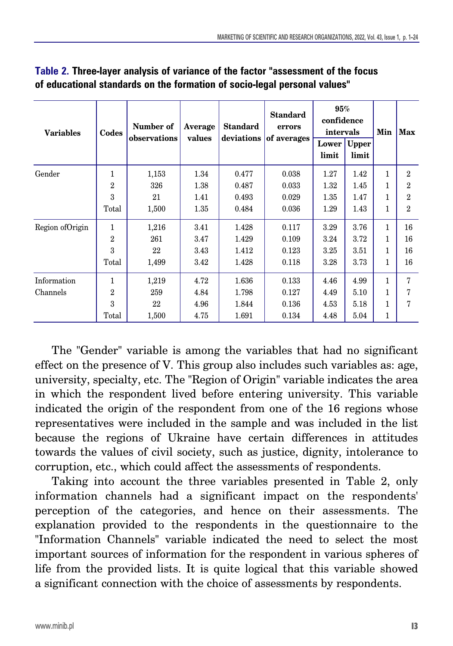| <b>Variables</b> | Codes          | Number of<br>observations | Average<br>values | <b>Standard</b><br>deviations | <b>Standard</b><br>errors<br>of averages | 95%<br>confidence<br>intervals |                | Min          | Max            |
|------------------|----------------|---------------------------|-------------------|-------------------------------|------------------------------------------|--------------------------------|----------------|--------------|----------------|
|                  |                |                           |                   |                               |                                          | Lower<br>limit                 | Upper<br>limit |              |                |
| Gender           | 1              | 1,153                     | 1.34              | 0.477                         | 0.038                                    | 1.27                           | 1.42           | $\mathbf{1}$ | 2              |
|                  | $\overline{2}$ | 326                       | 1.38              | 0.487                         | 0.033                                    | 1.32                           | 1.45           | 1            | $\overline{2}$ |
|                  | 3              | 21                        | 1.41              | 0.493                         | 0.029                                    | 1.35                           | 1.47           | 1            | $\overline{2}$ |
|                  | Total          | 1,500                     | 1.35              | 0.484                         | 0.036                                    | 1.29                           | 1.43           | 1            | $\overline{2}$ |
| Region of Origin | $\mathbf{1}$   | 1,216                     | 3.41              | 1.428                         | 0.117                                    | 3.29                           | 3.76           | $\mathbf{1}$ | 16             |
|                  | $\overline{2}$ | 261                       | 3.47              | 1.429                         | 0.109                                    | 3.24                           | 3.72           | $\mathbf{1}$ | 16             |
|                  | 3              | 22                        | 3.43              | 1.412                         | 0.123                                    | 3.25                           | 3.51           | 1            | 16             |
|                  | Total          | 1,499                     | 3.42              | 1.428                         | 0.118                                    | 3.28                           | 3.73           | $\mathbf{1}$ | 16             |
| Information      | $\mathbf{1}$   | 1,219                     | 4.72              | 1.636                         | 0.133                                    | 4.46                           | 4.99           | 1            | 7              |
| Channels         | $\overline{2}$ | 259                       | 4.84              | 1.798                         | 0.127                                    | 4.49                           | 5.10           | 1            | 7              |
|                  | 3              | 22                        | 4.96              | 1.844                         | 0.136                                    | 4.53                           | 5.18           | 1            | 7              |
|                  | Total          | 1,500                     | 4.75              | 1.691                         | 0.134                                    | 4.48                           | 5.04           | 1            |                |

#### **Table 2. Three-layer analysis of variance of the factor "assessment of the focus of educational standards on the formation of socio-legal personal values"**

The "Gender" variable is among the variables that had no significant effect on the presence of V. This group also includes such variables as: age, university, specialty, etc. The "Region of Origin" variable indicates the area in which the respondent lived before entering university. This variable indicated the origin of the respondent from one of the 16 regions whose representatives were included in the sample and was included in the list because the regions of Ukraine have certain differences in attitudes towards the values of civil society, such as justice, dignity, intolerance to corruption, etc., which could affect the assessments of respondents.

Taking into account the three variables presented in Table 2, only information channels had a significant impact on the respondents' perception of the categories, and hence on their assessments. The explanation provided to the respondents in the questionnaire to the "Information Channels" variable indicated the need to select the most important sources of information for the respondent in various spheres of life from the provided lists. It is quite logical that this variable showed a significant connection with the choice of assessments by respondents.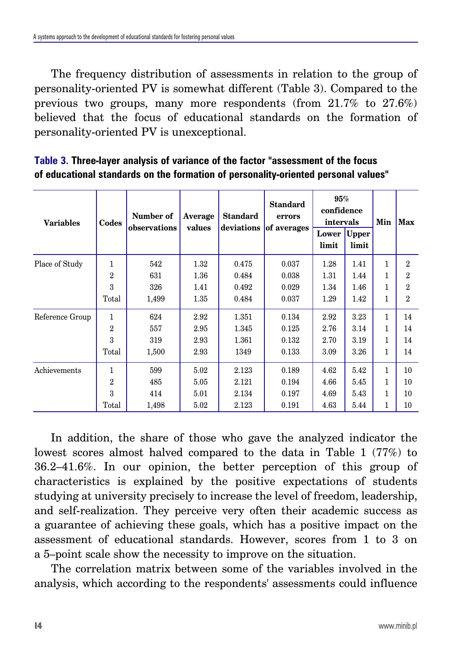The frequency distribution of assessments in relation to the group of personality-oriented PV is somewhat different (Table 3). Compared to the previous two groups, many more respondents (from 21.7% to 27.6%) believed that the focus of educational standards on the formation of personality-oriented PV is unexceptional.

| <b>Variables</b> | Codes          | Number of<br>observations | Average<br>values | <b>Standard</b><br>deviations | <b>Standard</b><br>errors<br>of averages | 95%<br>confidence<br>intervals |                       | Min          | Max            |
|------------------|----------------|---------------------------|-------------------|-------------------------------|------------------------------------------|--------------------------------|-----------------------|--------------|----------------|
|                  |                |                           |                   |                               |                                          | Lower<br>limit                 | <b>Upper</b><br>limit |              |                |
| Place of Study   | 1              | 542                       | 1.32              | 0.475                         | 0.037                                    | 1.28                           | 1.41                  | 1            | $\overline{2}$ |
|                  | $\overline{2}$ | 631                       | 1.36              | 0.484                         | 0.038                                    | 1.31                           | 1.44                  | 1            | $\mathfrak{D}$ |
|                  | 3              | 326                       | 1.41              | 0.492                         | 0.029                                    | 1.34                           | 1.46                  | 1            | 2              |
|                  | Total          | 1,499                     | 1.35              | 0.484                         | 0.037                                    | 1.29                           | 1.42                  | 1            | $\mathfrak{D}$ |
| Reference Group  | $\mathbf{1}$   | 624                       | 2.92              | 1.351                         | 0.134                                    | 2.92                           | 3.23                  | 1            | 14             |
|                  | $\overline{2}$ | 557                       | 2.95              | 1.345                         | 0.125                                    | 2.76                           | 3.14                  | 1            | 14             |
|                  | 3              | 319                       | 2.93              | 1.361                         | 0.132                                    | 2.70                           | 3.19                  | 1            | 14             |
|                  | Total          | 1,500                     | 2.93              | 1349                          | 0.133                                    | 3.09                           | 3.26                  | $\mathbf{1}$ | 14             |
| Achievements     | 1              | 599                       | 5.02              | 2.123                         | 0.189                                    | 4.62                           | 5.42                  | 1            | 10             |
|                  | $\overline{2}$ | 485                       | 5.05              | 2.121                         | 0.194                                    | 4.66                           | 5.45                  | 1            | 10             |
|                  | 3              | 414                       | 5.01              | 2.134                         | 0.197                                    | 4.69                           | 5.43                  | 1            | 10             |
|                  | Total          | 1,498                     | 5.02              | 2.123                         | 0.191                                    | 4.63                           | 5.44                  | $\mathbf{1}$ | 10             |

**Table 3. Three-layer analysis of variance of the factor "assessment of the focus of educational standards on the formation of personality-oriented personal values"**

In addition, the share of those who gave the analyzed indicator the lowest scores almost halved compared to the data in Table 1 (77%) to 36.2–41.6%. In our opinion, the better perception of this group of characteristics is explained by the positive expectations of students studying at university precisely to increase the level of freedom, leadership, and self-realization. They perceive very often their academic success as a guarantee of achieving these goals, which has a positive impact on the assessment of educational standards. However, scores from 1 to 3 on a 5–point scale show the necessity to improve on the situation.

The correlation matrix between some of the variables involved in the analysis, which according to the respondents' assessments could influence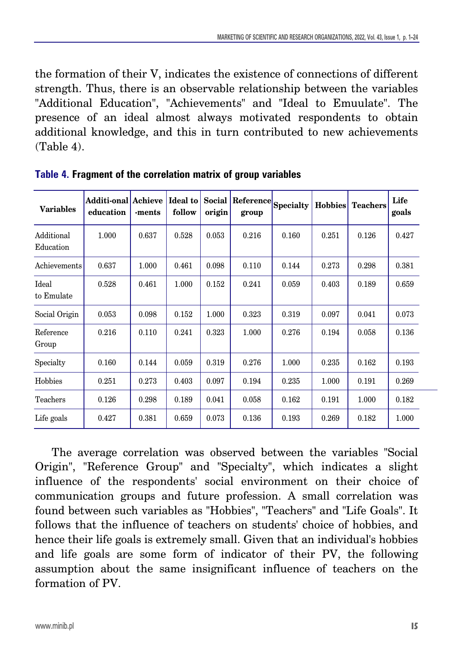the formation of their V, indicates the existence of connections of different strength. Thus, there is an observable relationship between the variables "Additional Education", "Achievements" and "Ideal to Emuulate". The presence of an ideal almost always motivated respondents to obtain additional knowledge, and this in turn contributed to new achievements (Table 4).

| <b>Variables</b>        | <b>Additi-onal Achieve</b><br>education | -ments | Ideal to<br>follow | Social<br>origin | $\beta$ Reference $ $ Specialty<br>group |       | <b>Hobbies</b> | <b>Teachers</b> | Life<br>goals |
|-------------------------|-----------------------------------------|--------|--------------------|------------------|------------------------------------------|-------|----------------|-----------------|---------------|
| Additional<br>Education | 1.000                                   | 0.637  | 0.528              | 0.053            | 0.216                                    | 0.160 | 0.251          | 0.126           | 0.427         |
| Achievements            | 0.637                                   | 1.000  | 0.461              | 0.098            | 0.110                                    | 0.144 | 0.273          | 0.298           | 0.381         |
| Ideal<br>to Emulate     | 0.528                                   | 0.461  | 1.000              | 0.152            | 0.241                                    | 0.059 | 0.403          | 0.189           | 0.659         |
| Social Origin           | 0.053                                   | 0.098  | 0.152              | 1.000            | 0.323                                    | 0.319 | 0.097          | 0.041           | 0.073         |
| Reference<br>Group      | 0.216                                   | 0.110  | 0.241              | 0.323            | 1.000                                    | 0.276 | 0.194          | 0.058           | 0.136         |
| Specialty               | 0.160                                   | 0.144  | 0.059              | 0.319            | 0.276                                    | 1.000 | 0.235          | 0.162           | 0.193         |
| Hobbies                 | 0.251                                   | 0.273  | 0.403              | 0.097            | 0.194                                    | 0.235 | 1.000          | 0.191           | 0.269         |
| Teachers                | 0.126                                   | 0.298  | 0.189              | 0.041            | 0.058                                    | 0.162 | 0.191          | 1.000           | 0.182         |
| Life goals              | 0.427                                   | 0.381  | 0.659              | 0.073            | 0.136                                    | 0.193 | 0.269          | 0.182           | 1.000         |

**Table 4. Fragment of the correlation matrix of group variables**

The average correlation was observed between the variables "Social Origin", "Reference Group" and "Specialty", which indicates a slight influence of the respondents' social environment on their choice of communication groups and future profession. A small correlation was found between such variables as "Hobbies", "Teachers" and "Life Goals". It follows that the influence of teachers on students' choice of hobbies, and hence their life goals is extremely small. Given that an individual's hobbies and life goals are some form of indicator of their PV, the following assumption about the same insignificant influence of teachers on the formation of PV.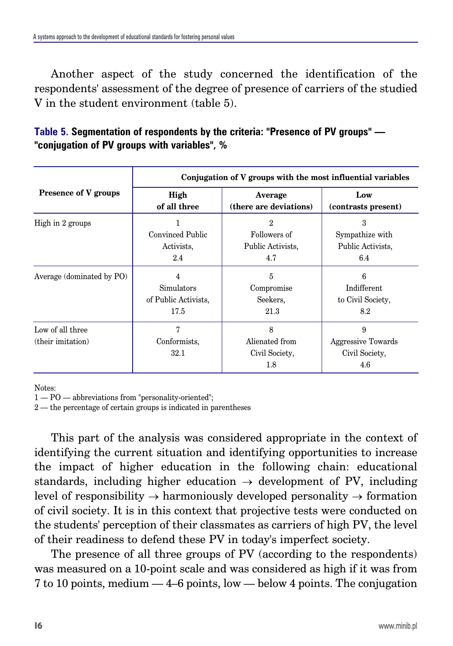Another aspect of the study concerned the identification of the respondents' assessment of the degree of presence of carriers of the studied V in the student environment (table 5).

| Table 5. Segmentation of respondents by the criteria: "Presence of PV groups" — |  |
|---------------------------------------------------------------------------------|--|
| "conjugation of PV groups with variables", %                                    |  |

|                                       | Conjugation of V groups with the most influential variables |                                               |                                                  |  |  |  |  |  |
|---------------------------------------|-------------------------------------------------------------|-----------------------------------------------|--------------------------------------------------|--|--|--|--|--|
| <b>Presence of V groups</b>           | High<br>of all three                                        | Average<br>(there are deviations)             | Low<br>(contrasts present)                       |  |  |  |  |  |
| High in 2 groups                      | Convinced Public<br>Activists.<br>2.4                       | 2<br>Followers of<br>Public Activists.<br>4.7 | 3<br>Sympathize with<br>Public Activists.<br>6.4 |  |  |  |  |  |
| Average (dominated by PO)             | 4<br>Simulators<br>of Public Activists.<br>17.5             | 5<br>Compromise<br>Seekers.<br>21.3           | 6<br>Indifferent<br>to Civil Society,<br>8.2     |  |  |  |  |  |
| Low of all three<br>(their imitation) | 7<br>Conformists,<br>32.1                                   | 8<br>Alienated from<br>Civil Society,<br>1.8  | 9<br>Aggressive Towards<br>Civil Society,<br>4.6 |  |  |  |  |  |

Notes:

1 — PO — abbreviations from "personality-oriented";

2 — the percentage of certain groups is indicated in parentheses

This part of the analysis was considered appropriate in the context of identifying the current situation and identifying opportunities to increase the impact of higher education in the following chain: educational standards, including higher education  $\rightarrow$  development of PV, including level of responsibility  $\rightarrow$  harmoniously developed personality  $\rightarrow$  formation of civil society. It is in this context that projective tests were conducted on the students' perception of their classmates as carriers of high PV, the level of their readiness to defend these PV in today's imperfect society.

The presence of all three groups of PV (according to the respondents) was measured on a 10-point scale and was considered as high if it was from 7 to 10 points, medium — 4–6 points, low — below 4 points. The conjugation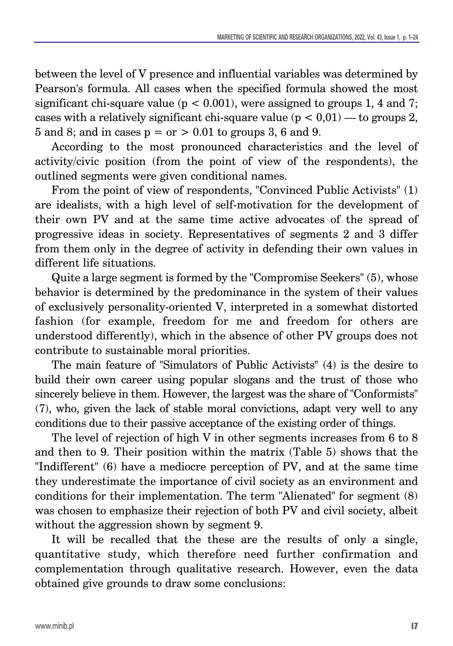between the level of V presence and influential variables was determined by Pearson's formula. All cases when the specified formula showed the most significant chi-square value ( $p < 0.001$ ), were assigned to groups 1, 4 and 7; cases with a relatively significant chi-square value  $(p < 0.01)$  — to groups 2, 5 and 8; and in cases  $p = or > 0.01$  to groups 3, 6 and 9.

According to the most pronounced characteristics and the level of activity/civic position (from the point of view of the respondents), the outlined segments were given conditional names.

From the point of view of respondents, "Convinced Public Activists" (1) are idealists, with a high level of self-motivation for the development of their own PV and at the same time active advocates of the spread of progressive ideas in society. Representatives of segments 2 and 3 differ from them only in the degree of activity in defending their own values in different life situations.

Quite a large segment is formed by the "Compromise Seekers" (5), whose behavior is determined by the predominance in the system of their values of exclusively personality-oriented V, interpreted in a somewhat distorted fashion (for example, freedom for me and freedom for others are understood differently), which in the absence of other PV groups does not contribute to sustainable moral priorities.

The main feature of "Simulators of Public Activists" (4) is the desire to build their own career using popular slogans and the trust of those who sincerely believe in them. However, the largest was the share of "Conformists" (7), who, given the lack of stable moral convictions, adapt very well to any conditions due to their passive acceptance of the existing order of things.

The level of rejection of high V in other segments increases from 6 to 8 and then to 9. Their position within the matrix (Table 5) shows that the "Indifferent" (6) have a mediocre perception of PV, and at the same time they underestimate the importance of civil society as an environment and conditions for their implementation. The term "Alienated" for segment (8) was chosen to emphasize their rejection of both PV and civil society, albeit without the aggression shown by segment 9.

It will be recalled that the these are the results of only a single, quantitative study, which therefore need further confirmation and complementation through qualitative research. However, even the data obtained give grounds to draw some conclusions: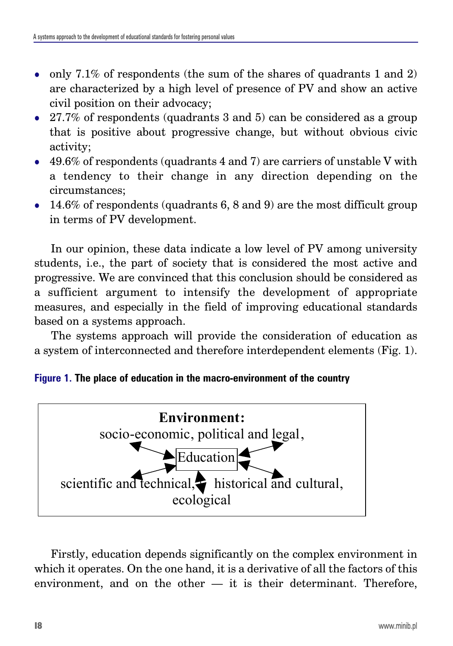- only 7.1% of respondents (the sum of the shares of quadrants 1 and 2) are characterized by a high level of presence of PV and show an active civil position on their advocacy;
- 27.7% of respondents (quadrants 3 and 5) can be considered as a group that is positive about progressive change, but without obvious civic activity;
- $\bullet$  49.6% of respondents (quadrants 4 and 7) are carriers of unstable V with a tendency to their change in any direction depending on the circumstances;
- $\bullet$  14.6% of respondents (quadrants 6, 8 and 9) are the most difficult group in terms of PV development.

In our opinion, these data indicate a low level of PV among university students, i.e., the part of society that is considered the most active and progressive. We are convinced that this conclusion should be considered as a sufficient argument to intensify the development of appropriate measures, and especially in the field of improving educational standards based on a systems approach.

The systems approach will provide the consideration of education as a system of interconnected and therefore interdependent elements (Fig. 1).





Firstly, education depends significantly on the complex environment in which it operates. On the one hand, it is a derivative of all the factors of this environment, and on the other  $-$  it is their determinant. Therefore,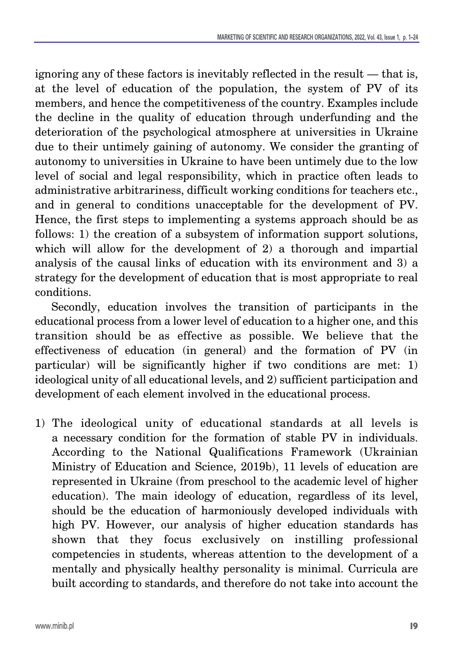ignoring any of these factors is inevitably reflected in the result — that is, at the level of education of the population, the system of PV of its members, and hence the competitiveness of the country. Examples include the decline in the quality of education through underfunding and the deterioration of the psychological atmosphere at universities in Ukraine due to their untimely gaining of autonomy. We consider the granting of autonomy to universities in Ukraine to have been untimely due to the low level of social and legal responsibility, which in practice often leads to administrative arbitrariness, difficult working conditions for teachers etc., and in general to conditions unacceptable for the development of PV. Hence, the first steps to implementing a systems approach should be as follows: 1) the creation of a subsystem of information support solutions, which will allow for the development of 2) a thorough and impartial analysis of the causal links of education with its environment and 3) a strategy for the development of education that is most appropriate to real conditions.

Secondly, education involves the transition of participants in the educational process from a lower level of education to a higher one, and this transition should be as effective as possible. We believe that the effectiveness of education (in general) and the formation of PV (in particular) will be significantly higher if two conditions are met: 1) ideological unity of all educational levels, and 2) sufficient participation and development of each element involved in the educational process.

1) The ideological unity of educational standards at all levels is a necessary condition for the formation of stable PV in individuals. According to the National Qualifications Framework (Ukrainian Ministry of Education and Science, 2019b), 11 levels of education are represented in Ukraine (from preschool to the academic level of higher education). The main ideology of education, regardless of its level, should be the education of harmoniously developed individuals with high PV. However, our analysis of higher education standards has shown that they focus exclusively on instilling professional competencies in students, whereas attention to the development of a mentally and physically healthy personality is minimal. Curricula are built according to standards, and therefore do not take into account the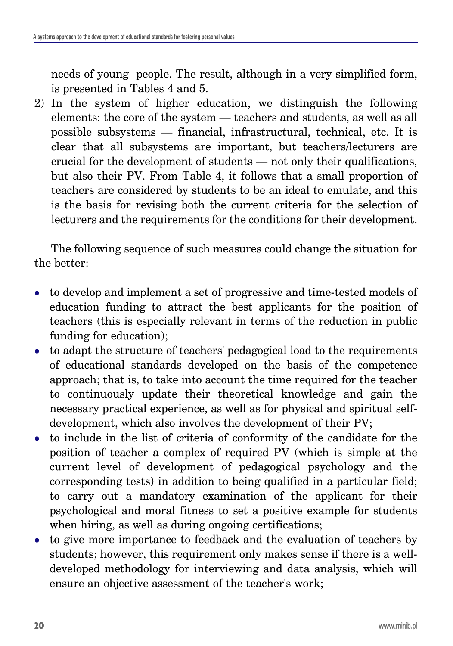needs of young people. The result, although in a very simplified form, is presented in Tables 4 and 5.

2) In the system of higher education, we distinguish the following elements: the core of the system — teachers and students, as well as all possible subsystems — financial, infrastructural, technical, etc. It is clear that all subsystems are important, but teachers/lecturers are crucial for the development of students — not only their qualifications, but also their PV. From Table 4, it follows that a small proportion of teachers are considered by students to be an ideal to emulate, and this is the basis for revising both the current criteria for the selection of lecturers and the requirements for the conditions for their development.

The following sequence of such measures could change the situation for the better:

- to develop and implement a set of progressive and time-tested models of education funding to attract the best applicants for the position of teachers (this is especially relevant in terms of the reduction in public funding for education);
- to adapt the structure of teachers' pedagogical load to the requirements of educational standards developed on the basis of the competence approach; that is, to take into account the time required for the teacher to continuously update their theoretical knowledge and gain the necessary practical experience, as well as for physical and spiritual selfdevelopment, which also involves the development of their PV;
- $\bullet$  to include in the list of criteria of conformity of the candidate for the position of teacher a complex of required PV (which is simple at the current level of development of pedagogical psychology and the corresponding tests) in addition to being qualified in a particular field; to carry out a mandatory examination of the applicant for their psychological and moral fitness to set a positive example for students when hiring, as well as during ongoing certifications;
- $\bullet$  to give more importance to feedback and the evaluation of teachers by students; however, this requirement only makes sense if there is a welldeveloped methodology for interviewing and data analysis, which will ensure an objective assessment of the teacher's work;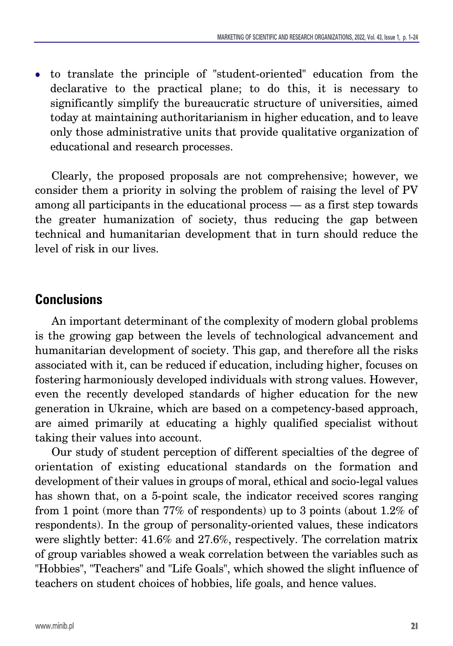• to translate the principle of "student-oriented" education from the declarative to the practical plane; to do this, it is necessary to significantly simplify the bureaucratic structure of universities, aimed today at maintaining authoritarianism in higher education, and to leave only those administrative units that provide qualitative organization of educational and research processes.

Clearly, the proposed proposals are not comprehensive; however, we consider them a priority in solving the problem of raising the level of PV among all participants in the educational process — as a first step towards the greater humanization of society, thus reducing the gap between technical and humanitarian development that in turn should reduce the level of risk in our lives.

### **Conclusions**

An important determinant of the complexity of modern global problems is the growing gap between the levels of technological advancement and humanitarian development of society. This gap, and therefore all the risks associated with it, can be reduced if education, including higher, focuses on fostering harmoniously developed individuals with strong values. However, even the recently developed standards of higher education for the new generation in Ukraine, which are based on a competency-based approach, are aimed primarily at educating a highly qualified specialist without taking their values into account.

Our study of student perception of different specialties of the degree of orientation of existing educational standards on the formation and development of their values in groups of moral, ethical and socio-legal values has shown that, on a 5-point scale, the indicator received scores ranging from 1 point (more than 77% of respondents) up to 3 points (about 1.2% of respondents). In the group of personality-oriented values, these indicators were slightly better: 41.6% and 27.6%, respectively. The correlation matrix of group variables showed a weak correlation between the variables such as "Hobbies", "Teachers" and "Life Goals", which showed the slight influence of teachers on student choices of hobbies, life goals, and hence values.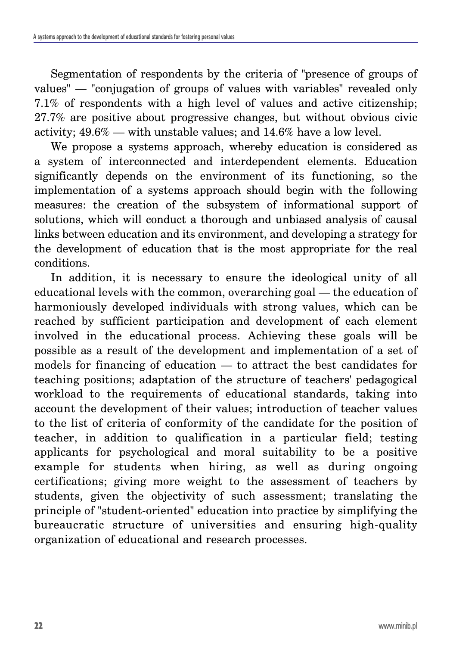Segmentation of respondents by the criteria of "presence of groups of values" — "conjugation of groups of values with variables" revealed only 7.1% of respondents with a high level of values and active citizenship; 27.7% are positive about progressive changes, but without obvious civic activity; 49.6% — with unstable values; and 14.6% have a low level.

We propose a systems approach, whereby education is considered as a system of interconnected and interdependent elements. Education significantly depends on the environment of its functioning, so the implementation of a systems approach should begin with the following measures: the creation of the subsystem of informational support of solutions, which will conduct a thorough and unbiased analysis of causal links between education and its environment, and developing a strategy for the development of education that is the most appropriate for the real conditions.

In addition, it is necessary to ensure the ideological unity of all educational levels with the common, overarching goal — the education of harmoniously developed individuals with strong values, which can be reached by sufficient participation and development of each element involved in the educational process. Achieving these goals will be possible as a result of the development and implementation of a set of models for financing of education — to attract the best candidates for teaching positions; adaptation of the structure of teachers' pedagogical workload to the requirements of educational standards, taking into account the development of their values; introduction of teacher values to the list of criteria of conformity of the candidate for the position of teacher, in addition to qualification in a particular field; testing applicants for psychological and moral suitability to be a positive example for students when hiring, as well as during ongoing certifications; giving more weight to the assessment of teachers by students, given the objectivity of such assessment; translating the principle of "student-oriented" education into practice by simplifying the bureaucratic structure of universities and ensuring high-quality organization of educational and research processes.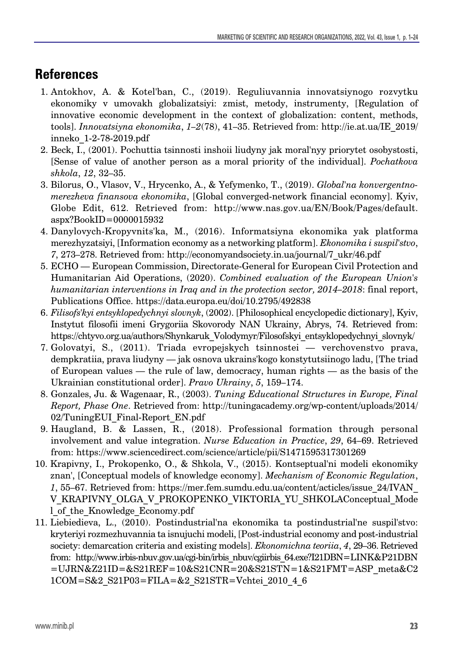# **References**

- 1. Antokhov, A. & Kotel'ban, C., (2019). Reguliuvannia innovatsiynogo rozvytku ekonomiky v umovakh globalizatsiyi: zmist, metody, instrumenty, [Regulation of innovative economic development in the context of globalization: content, methods, tools]. *Innovatsiyna ekonomika*, *1–2*(78), 41–35. Retrieved from: http://ie.at.ua/IE\_2019/ inneko\_1-2-78-2019.pdf
- 2. Beck, I., (2001). Pochuttia tsinnosti inshoii liudyny jak moral'nyy priorytet osobystosti, [Sense of value of another person as a moral priority of the individual]. *Pochatkova shkola*, *12*, 32–35.
- 3. Bilorus, O., Vlasov, V., Hrycenko, A., & Yefymenko, T., (2019). *Global'na konvergentnomerezheva finansova ekonomika*, [Global converged-network financial economy]. Kyiv, Globe Edit, 612. Retrieved from: http://www.nas.gov.ua/EN/Book/Pages/default. aspx?BookID=0000015932
- 4. Danylovych-Kropyvnits'ka, M., (2016). Informatsiyna ekonomika yak platforma merezhyzatsiyi, [Information economy as a networking platform]. *Ekonomika i suspil'stvo*, *7*, 273–278. Retrieved from: http://economyandsociety.in.ua/journal/7\_ukr/46.pdf
- 5. ECHO European Commission, Directorate-General for European Civil Protection and Humanitarian Aid Operations, (2020). *Combined evaluation of the European Union's humanitarian interventions in Iraq and in the protection sector, 2014–2018*: final report, Publications Office. https://data.europa.eu/doi/10.2795/492838
- 6. *Filisofs'kyi entsyklopedychnyi slovnyk*, (2002). [Philosophical encyclopedic dictionary], Kyiv, Instytut filosofii imeni Grygoriia Skovorody NAN Ukrainy, Abrys, 74. Retrieved from: https://chtyvo.org.ua/authors/Shynkaruk\_Volodymyr/Filosofskyi\_entsyklopedychnyi\_slovnyk/
- 7. Golovatyi, S., (2011). Triada evropejskych tsinnostei verchovenstvo prava, dempkratiia, prava liudyny — jak osnova ukrains'kogo konstytutsiinogo ladu, [The triad of European values — the rule of law, democracy, human rights — as the basis of the Ukrainian constitutional order]. *Pravo Ukrainy*, *5*, 159–174.
- 8. Gonzales, Ju. & Wagenaar, R., (2003). *Tuning Educational Structures in Europe, Final Report, Phase One*. Retrieved from: http://tuningacademy.org/wp-content/uploads/2014/ 02/TuningEUI\_Final-Report\_EN.pdf
- 9. Haugland, B. & Lassen, R., (2018). Professional formation through personal involvement and value integration. *Nurse Education in Practice*, *29*, 64–69. Retrieved from: https://www.sciencedirect.com/science/article/pii/S1471595317301269
- 10. Krapivny, I., Prokopenko, O., & Shkola, V., (2015). Kontseptual'ni modeli ekonomiky znan', [Conceptual models of knowledge economy]. *Mechanism of Economic Regulation*, *1*, 55–67. Retrieved from: https://mer.fem.sumdu.edu.ua/content/acticles/issue\_24/IVAN\_ V\_KRAPIVNY\_OLGA\_V\_PROKOPENKO\_VIKTORIA\_YU\_SHKOLAConceptual\_Mode l\_of\_the\_Knowledge\_Economy.pdf
- 11. Liebiedieva, L., (2010). Postindustrial'na ekonomika ta postindustrial'ne suspil'stvo: kryteriyi rozmezhuvannia ta isnujuchi modeli, [Post-industrial economy and post-industrial society: demarcation criteria and existing models]. *Ekonomichna teoriia*, *4*, 29–36. Retrieved from: http://www.irbis-nbuv.gov.ua/cgi-bin/irbis\_nbuv/cgiirbis\_64.exe?I21DBN=LINK&P21DBN =UJRN&Z21ID=&S21REF=10&S21CNR=20&S21STN=1&S21FMT=ASP\_meta&C2 1COM=S&2\_S21P03=FILA=&2\_S21STR=Vchtei\_2010\_4\_6